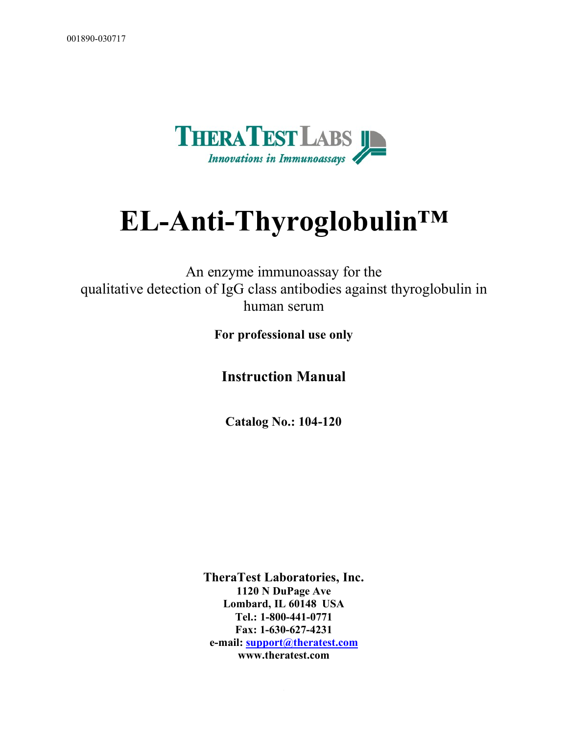

# **EL-Anti-Thyroglobulin™**

An enzyme immunoassay for the qualitative detection of IgG class antibodies against thyroglobulin in human serum

**For professional use only**

**Instruction Manual**

**Catalog No.: 104-120**

**TheraTest Laboratories, Inc. 1120 N DuPage Ave Lombard, IL 60148 USA Tel.: 1-800-441-0771 Fax: 1-630-627-4231 e-mail:** support@theratest.com **www.theratest.com**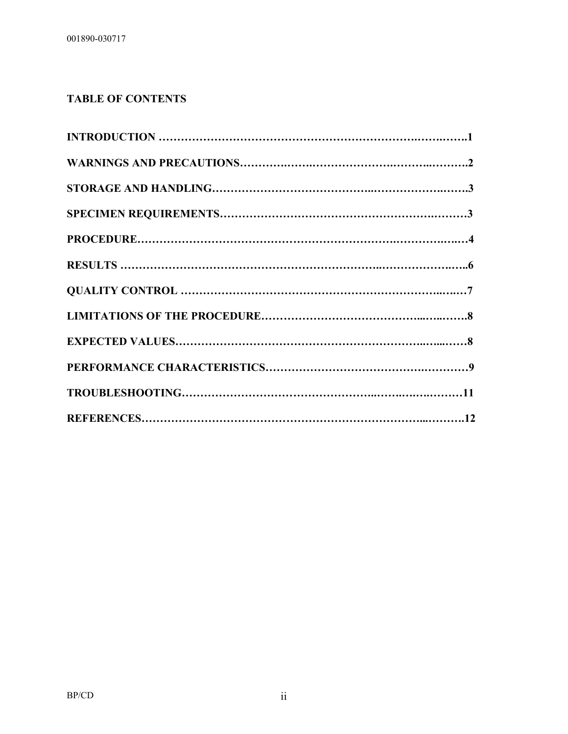## **TABLE OF CONTENTS**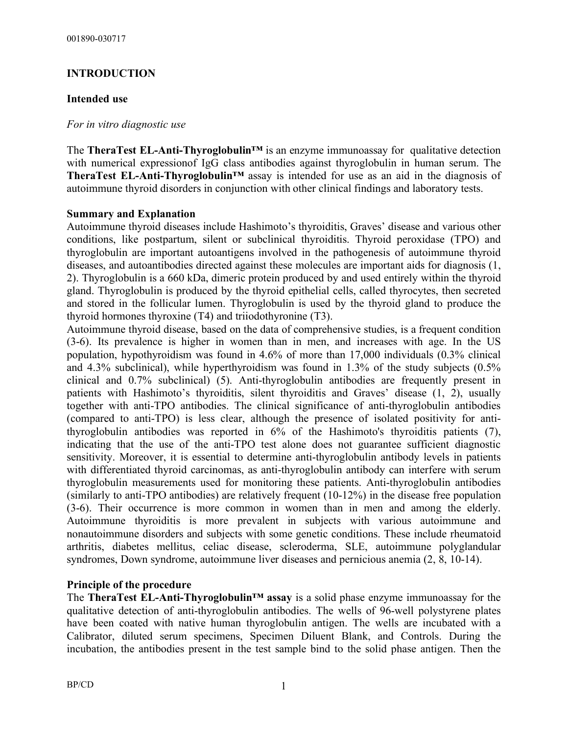## **INTRODUCTION**

### **Intended use**

#### *For in vitro diagnostic use*

The **TheraTest EL-Anti-Thyroglobulin™** is an enzyme immunoassay for qualitative detection with numerical expressionof IgG class antibodies against thyroglobulin in human serum. The **TheraTest EL-Anti-Thyroglobulin™** assay is intended for use as an aid in the diagnosis of autoimmune thyroid disorders in conjunction with other clinical findings and laboratory tests.

#### **Summary and Explanation**

Autoimmune thyroid diseases include Hashimoto's thyroiditis, Graves' disease and various other conditions, like postpartum, silent or subclinical thyroiditis. Thyroid peroxidase (TPO) and thyroglobulin are important autoantigens involved in the pathogenesis of autoimmune thyroid diseases, and autoantibodies directed against these molecules are important aids for diagnosis (1, 2). Thyroglobulin is a 660 kDa, dimeric protein produced by and used entirely within the thyroid gland. Thyroglobulin is produced by the thyroid epithelial cells, called thyrocytes, then secreted and stored in the follicular lumen. Thyroglobulin is used by the thyroid gland to produce the thyroid hormones thyroxine (T4) and triiodothyronine (T3).

Autoimmune thyroid disease, based on the data of comprehensive studies, is a frequent condition (3-6). Its prevalence is higher in women than in men, and increases with age. In the US population, hypothyroidism was found in 4.6% of more than 17,000 individuals (0.3% clinical and 4.3% subclinical), while hyperthyroidism was found in 1.3% of the study subjects (0.5% clinical and 0.7% subclinical) (5). Anti-thyroglobulin antibodies are frequently present in patients with Hashimoto's thyroiditis, silent thyroiditis and Graves' disease (1, 2), usually together with anti-TPO antibodies. The clinical significance of anti-thyroglobulin antibodies (compared to anti-TPO) is less clear, although the presence of isolated positivity for antithyroglobulin antibodies was reported in 6% of the Hashimoto's thyroiditis patients (7), indicating that the use of the anti-TPO test alone does not guarantee sufficient diagnostic sensitivity. Moreover, it is essential to determine anti-thyroglobulin antibody levels in patients with differentiated thyroid carcinomas, as anti-thyroglobulin antibody can interfere with serum thyroglobulin measurements used for monitoring these patients. Anti-thyroglobulin antibodies (similarly to anti-TPO antibodies) are relatively frequent (10-12%) in the disease free population (3-6). Their occurrence is more common in women than in men and among the elderly. Autoimmune thyroiditis is more prevalent in subjects with various autoimmune and nonautoimmune disorders and subjects with some genetic conditions. These include rheumatoid arthritis, diabetes mellitus, celiac disease, scleroderma, SLE, autoimmune polyglandular syndromes, Down syndrome, autoimmune liver diseases and pernicious anemia (2, 8, 10-14).

#### **Principle of the procedure**

The **TheraTest EL-Anti-Thyroglobulin™ assay** is a solid phase enzyme immunoassay for the qualitative detection of anti-thyroglobulin antibodies. The wells of 96-well polystyrene plates have been coated with native human thyroglobulin antigen. The wells are incubated with a Calibrator, diluted serum specimens, Specimen Diluent Blank, and Controls. During the incubation, the antibodies present in the test sample bind to the solid phase antigen. Then the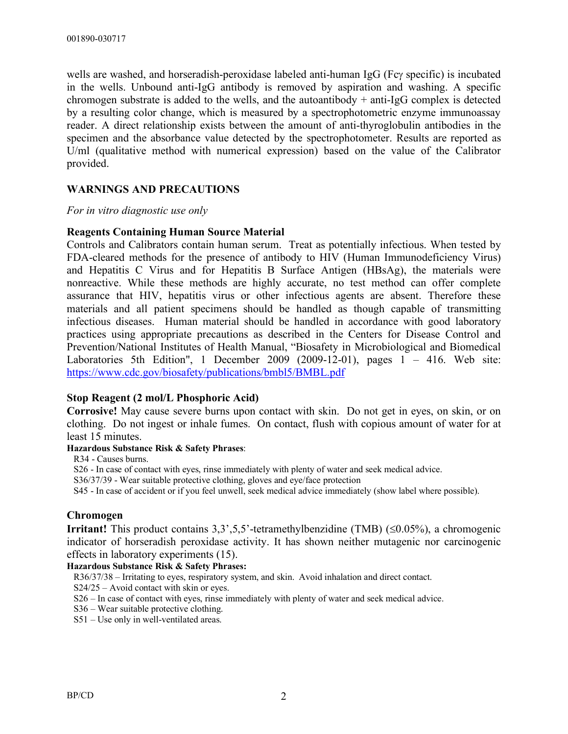wells are washed, and horseradish-peroxidase labeled anti-human IgG ( $Fcy$  specific) is incubated in the wells. Unbound anti-IgG antibody is removed by aspiration and washing. A specific chromogen substrate is added to the wells, and the autoantibody  $+$  anti-IgG complex is detected by a resulting color change, which is measured by a spectrophotometric enzyme immunoassay reader. A direct relationship exists between the amount of anti-thyroglobulin antibodies in the specimen and the absorbance value detected by the spectrophotometer. Results are reported as U/ml (qualitative method with numerical expression) based on the value of the Calibrator provided.

#### **WARNINGS AND PRECAUTIONS**

#### *For in vitro diagnostic use only*

#### **Reagents Containing Human Source Material**

Controls and Calibrators contain human serum. Treat as potentially infectious. When tested by FDA-cleared methods for the presence of antibody to HIV (Human Immunodeficiency Virus) and Hepatitis C Virus and for Hepatitis B Surface Antigen (HBsAg), the materials were nonreactive. While these methods are highly accurate, no test method can offer complete assurance that HIV, hepatitis virus or other infectious agents are absent. Therefore these materials and all patient specimens should be handled as though capable of transmitting infectious diseases. Human material should be handled in accordance with good laboratory practices using appropriate precautions as described in the Centers for Disease Control and Prevention/National Institutes of Health Manual, "Biosafety in Microbiological and Biomedical Laboratories 5th Edition", 1 December 2009 (2009-12-01), pages 1 – 416. Web site: https://www.cdc.gov/biosafety/publications/bmbl5/BMBL.pdf

#### **Stop Reagent (2 mol/L Phosphoric Acid)**

**Corrosive!** May cause severe burns upon contact with skin. Do not get in eyes, on skin, or on clothing. Do not ingest or inhale fumes. On contact, flush with copious amount of water for at least 15 minutes.

#### **Hazardous Substance Risk & Safety Phrases**:

R34 - Causes burns.

S26 - In case of contact with eyes, rinse immediately with plenty of water and seek medical advice.

S36/37/39 - Wear suitable protective clothing, gloves and eye/face protection

S45 - In case of accident or if you feel unwell, seek medical advice immediately (show label where possible).

#### **Chromogen**

**Irritant!** This product contains  $3,3,5,5$ '-tetramethylbenzidine (TMB) ( $\leq 0.05\%$ ), a chromogenic indicator of horseradish peroxidase activity. It has shown neither mutagenic nor carcinogenic effects in laboratory experiments (15).

#### **Hazardous Substance Risk & Safety Phrases:**

R36/37/38 – Irritating to eyes, respiratory system, and skin. Avoid inhalation and direct contact.

S24/25 – Avoid contact with skin or eyes.

S26 – In case of contact with eyes, rinse immediately with plenty of water and seek medical advice.

S36 – Wear suitable protective clothing.

S51 – Use only in well-ventilated areas.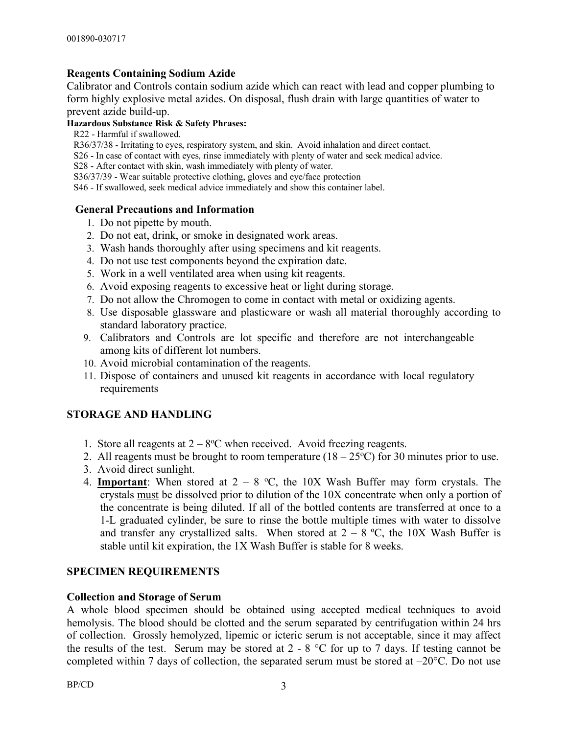## **Reagents Containing Sodium Azide**

Calibrator and Controls contain sodium azide which can react with lead and copper plumbing to form highly explosive metal azides. On disposal, flush drain with large quantities of water to prevent azide build-up.

#### **Hazardous Substance Risk & Safety Phrases:**

R22 - Harmful if swallowed.

R36/37/38 - Irritating to eyes, respiratory system, and skin. Avoid inhalation and direct contact.

S26 - In case of contact with eyes, rinse immediately with plenty of water and seek medical advice.

S28 - After contact with skin, wash immediately with plenty of water.

S36/37/39 - Wear suitable protective clothing, gloves and eye/face protection

S46 - If swallowed, seek medical advice immediately and show this container label.

#### **General Precautions and Information**

- 1. Do not pipette by mouth.
- 2. Do not eat, drink, or smoke in designated work areas.
- 3. Wash hands thoroughly after using specimens and kit reagents.
- 4. Do not use test components beyond the expiration date.
- 5. Work in a well ventilated area when using kit reagents.
- 6. Avoid exposing reagents to excessive heat or light during storage.
- 7. Do not allow the Chromogen to come in contact with metal or oxidizing agents.
- 8. Use disposable glassware and plasticware or wash all material thoroughly according to standard laboratory practice.
- 9. Calibrators and Controls are lot specific and therefore are not interchangeable among kits of different lot numbers.
- 10. Avoid microbial contamination of the reagents.
- 11. Dispose of containers and unused kit reagents in accordance with local regulatory requirements

## **STORAGE AND HANDLING**

- 1. Store all reagents at  $2 8$ °C when received. Avoid freezing reagents.
- 2. All reagents must be brought to room temperature  $(18 25^{\circ}C)$  for 30 minutes prior to use.
- 3. Avoid direct sunlight.
- 4. **Important**: When stored at  $2 8$  °C, the 10X Wash Buffer may form crystals. The crystals must be dissolved prior to dilution of the 10X concentrate when only a portion of the concentrate is being diluted. If all of the bottled contents are transferred at once to a 1-L graduated cylinder, be sure to rinse the bottle multiple times with water to dissolve and transfer any crystallized salts. When stored at  $2 - 8$  °C, the 10X Wash Buffer is stable until kit expiration, the 1X Wash Buffer is stable for 8 weeks.

## **SPECIMEN REQUIREMENTS**

## **Collection and Storage of Serum**

A whole blood specimen should be obtained using accepted medical techniques to avoid hemolysis. The blood should be clotted and the serum separated by centrifugation within 24 hrs of collection. Grossly hemolyzed, lipemic or icteric serum is not acceptable, since it may affect the results of the test. Serum may be stored at  $2 - 8$  °C for up to 7 days. If testing cannot be completed within 7 days of collection, the separated serum must be stored at –20°C. Do not use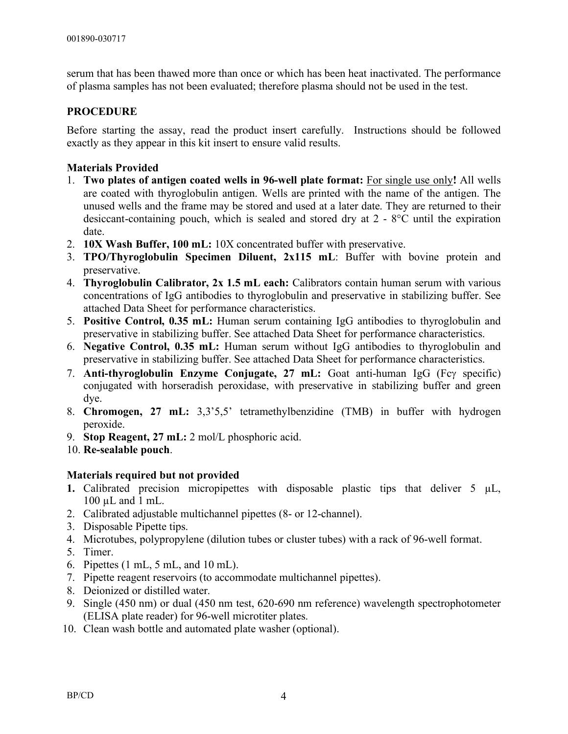serum that has been thawed more than once or which has been heat inactivated. The performance of plasma samples has not been evaluated; therefore plasma should not be used in the test.

## **PROCEDURE**

Before starting the assay, read the product insert carefully. Instructions should be followed exactly as they appear in this kit insert to ensure valid results.

## **Materials Provided**

- 1. **Two plates of antigen coated wells in 96-well plate format:** For single use only**!** All wells are coated with thyroglobulin antigen. Wells are printed with the name of the antigen. The unused wells and the frame may be stored and used at a later date. They are returned to their desiccant-containing pouch, which is sealed and stored dry at 2 - 8°C until the expiration date.
- 2. **10X Wash Buffer, 100 mL:** 10X concentrated buffer with preservative.
- 3. **TPO/Thyroglobulin Specimen Diluent, 2x115 mL**: Buffer with bovine protein and preservative.
- 4. **Thyroglobulin Calibrator, 2x 1.5 mL each:** Calibrators contain human serum with various concentrations of IgG antibodies to thyroglobulin and preservative in stabilizing buffer. See attached Data Sheet for performance characteristics.
- 5. **Positive Control, 0.35 mL:** Human serum containing IgG antibodies to thyroglobulin and preservative in stabilizing buffer. See attached Data Sheet for performance characteristics.
- 6. **Negative Control, 0.35 mL:** Human serum without IgG antibodies to thyroglobulin and preservative in stabilizing buffer. See attached Data Sheet for performance characteristics.
- 7. **Anti-thyroglobulin Enzyme Conjugate, 27 mL:** Goat anti-human IgG (Fcy specific) conjugated with horseradish peroxidase, with preservative in stabilizing buffer and green dye.
- 8. **Chromogen, 27 mL:** 3,3'5,5' tetramethylbenzidine (TMB) in buffer with hydrogen peroxide.
- 9. **Stop Reagent, 27 mL:** 2 mol/L phosphoric acid.
- 10. **Re-sealable pouch**.

#### **Materials required but not provided**

- **1.** Calibrated precision micropipettes with disposable plastic tips that deliver  $5 \mu L$ , 100 µL and 1 mL.
- 2. Calibrated adjustable multichannel pipettes (8- or 12-channel).
- 3. Disposable Pipette tips.
- 4. Microtubes, polypropylene (dilution tubes or cluster tubes) with a rack of 96-well format.
- 5. Timer.
- 6. Pipettes (1 mL, 5 mL, and 10 mL).
- 7. Pipette reagent reservoirs (to accommodate multichannel pipettes).
- 8. Deionized or distilled water.
- 9. Single (450 nm) or dual (450 nm test, 620-690 nm reference) wavelength spectrophotometer (ELISA plate reader) for 96-well microtiter plates.
- 10. Clean wash bottle and automated plate washer (optional).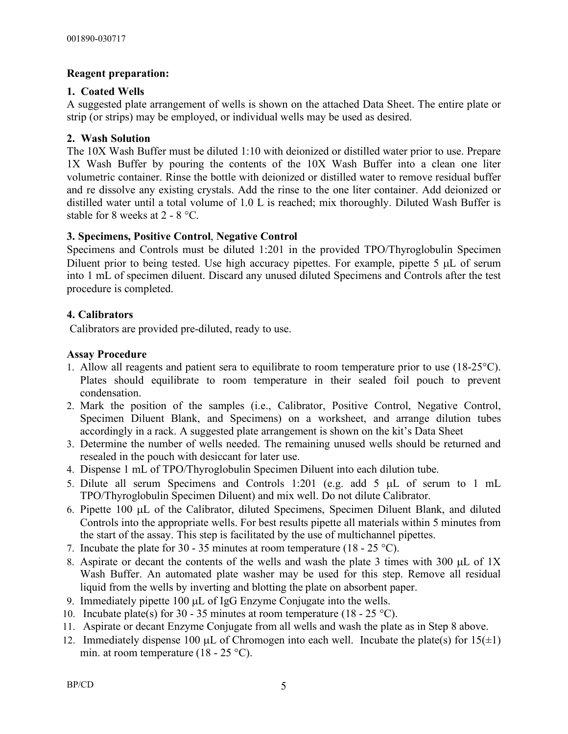## **Reagent preparation:**

## **1. Coated Wells**

A suggested plate arrangement of wells is shown on the attached Data Sheet. The entire plate or strip (or strips) may be employed, or individual wells may be used as desired.

## **2. Wash Solution**

The 10X Wash Buffer must be diluted 1:10 with deionized or distilled water prior to use. Prepare 1X Wash Buffer by pouring the contents of the 10X Wash Buffer into a clean one liter volumetric container. Rinse the bottle with deionized or distilled water to remove residual buffer and re dissolve any existing crystals. Add the rinse to the one liter container. Add deionized or distilled water until a total volume of 1.0 L is reached; mix thoroughly. Diluted Wash Buffer is stable for 8 weeks at 2 - 8 °C.

## **3. Specimens, Positive Control**, **Negative Control**

Specimens and Controls must be diluted 1:201 in the provided TPO/Thyroglobulin Specimen Diluent prior to being tested. Use high accuracy pipettes. For example, pipette 5 µL of serum into 1 mL of specimen diluent. Discard any unused diluted Specimens and Controls after the test procedure is completed.

## **4. Calibrators**

Calibrators are provided pre-diluted, ready to use.

## **Assay Procedure**

- 1. Allow all reagents and patient sera to equilibrate to room temperature prior to use (18-25°C). Plates should equilibrate to room temperature in their sealed foil pouch to prevent condensation.
- 2. Mark the position of the samples (i.e., Calibrator, Positive Control, Negative Control, Specimen Diluent Blank, and Specimens) on a worksheet, and arrange dilution tubes accordingly in a rack. A suggested plate arrangement is shown on the kit's Data Sheet
- 3. Determine the number of wells needed. The remaining unused wells should be returned and resealed in the pouch with desiccant for later use.
- 4. Dispense 1 mL of TPO/Thyroglobulin Specimen Diluent into each dilution tube.
- 5. Dilute all serum Specimens and Controls 1:201 (e.g. add 5 µL of serum to 1 mL TPO/Thyroglobulin Specimen Diluent) and mix well. Do not dilute Calibrator.
- 6. Pipette 100 µL of the Calibrator, diluted Specimens, Specimen Diluent Blank, and diluted Controls into the appropriate wells. For best results pipette all materials within 5 minutes from the start of the assay. This step is facilitated by the use of multichannel pipettes.
- 7. Incubate the plate for 30 35 minutes at room temperature (18 25 °C).
- 8. Aspirate or decant the contents of the wells and wash the plate 3 times with 300 µL of 1X Wash Buffer. An automated plate washer may be used for this step. Remove all residual liquid from the wells by inverting and blotting the plate on absorbent paper.
- 9. Immediately pipette  $100 \mu L$  of IgG Enzyme Conjugate into the wells.
- 10. Incubate plate(s) for 30 35 minutes at room temperature  $(18 25 \degree C)$ .
- 11. Aspirate or decant Enzyme Conjugate from all wells and wash the plate as in Step 8 above.
- 12. Immediately dispense 100  $\mu$ L of Chromogen into each well. Incubate the plate(s) for 15( $\pm$ 1) min. at room temperature (18 - 25 °C).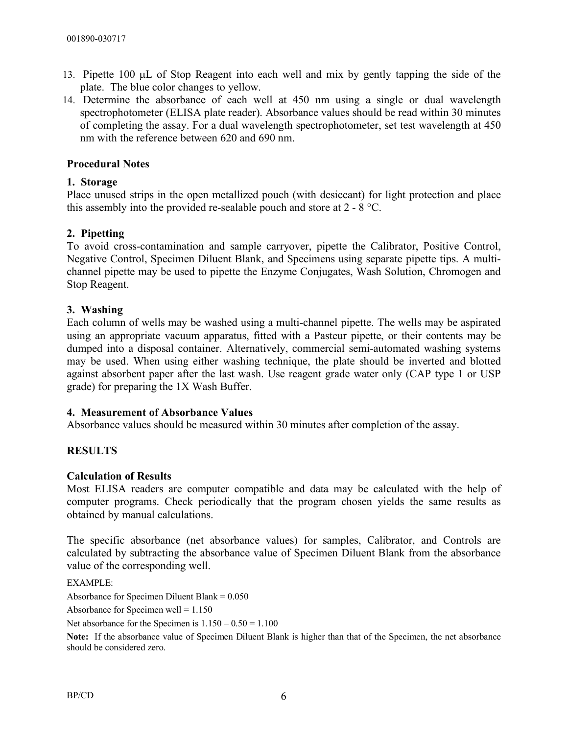- 13. Pipette 100 µL of Stop Reagent into each well and mix by gently tapping the side of the plate. The blue color changes to yellow.
- 14. Determine the absorbance of each well at 450 nm using a single or dual wavelength spectrophotometer (ELISA plate reader). Absorbance values should be read within 30 minutes of completing the assay. For a dual wavelength spectrophotometer, set test wavelength at 450 nm with the reference between 620 and 690 nm.

## **Procedural Notes**

## **1. Storage**

Place unused strips in the open metallized pouch (with desiccant) for light protection and place this assembly into the provided re-sealable pouch and store at 2 - 8 °C.

## **2. Pipetting**

To avoid cross-contamination and sample carryover, pipette the Calibrator, Positive Control, Negative Control, Specimen Diluent Blank, and Specimens using separate pipette tips. A multichannel pipette may be used to pipette the Enzyme Conjugates, Wash Solution, Chromogen and Stop Reagent.

## **3. Washing**

Each column of wells may be washed using a multi-channel pipette. The wells may be aspirated using an appropriate vacuum apparatus, fitted with a Pasteur pipette, or their contents may be dumped into a disposal container. Alternatively, commercial semi-automated washing systems may be used. When using either washing technique, the plate should be inverted and blotted against absorbent paper after the last wash. Use reagent grade water only (CAP type 1 or USP grade) for preparing the 1X Wash Buffer.

#### **4. Measurement of Absorbance Values**

Absorbance values should be measured within 30 minutes after completion of the assay.

## **RESULTS**

#### **Calculation of Results**

Most ELISA readers are computer compatible and data may be calculated with the help of computer programs. Check periodically that the program chosen yields the same results as obtained by manual calculations.

The specific absorbance (net absorbance values) for samples, Calibrator, and Controls are calculated by subtracting the absorbance value of Specimen Diluent Blank from the absorbance value of the corresponding well.

EXAMPLE:

Absorbance for Specimen Diluent Blank = 0.050

Absorbance for Specimen well  $= 1.150$ 

Net absorbance for the Specimen is  $1.150 - 0.50 = 1.100$ 

**Note:** If the absorbance value of Specimen Diluent Blank is higher than that of the Specimen, the net absorbance should be considered zero.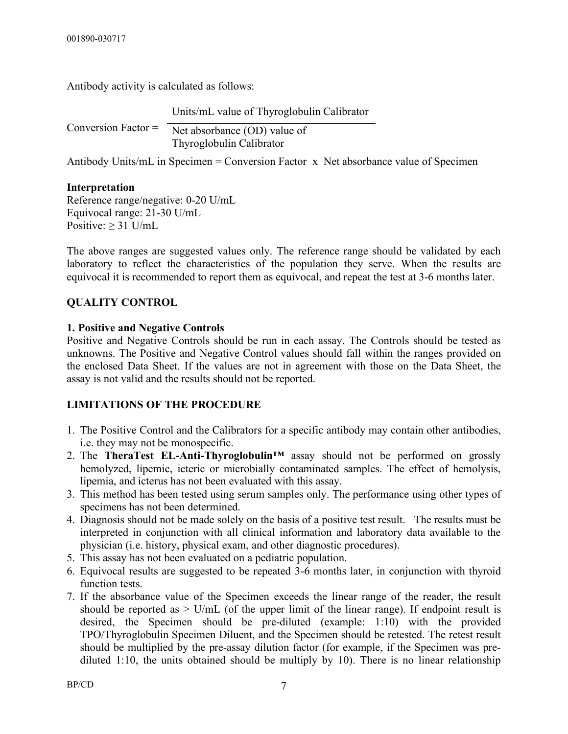Antibody activity is calculated as follows:

Units/mL value of Thyroglobulin Calibrator

Conversion Factor = Net absorbance (OD) value of Thyroglobulin Calibrator

Antibody Units/mL in Specimen = Conversion Factor x Net absorbance value of Specimen

## **Interpretation**

Reference range/negative: 0-20 U/mL Equivocal range: 21-30 U/mL Positive:  $\geq$  31 U/mL

The above ranges are suggested values only. The reference range should be validated by each laboratory to reflect the characteristics of the population they serve. When the results are equivocal it is recommended to report them as equivocal, and repeat the test at 3-6 months later.

## **QUALITY CONTROL**

## **1. Positive and Negative Controls**

Positive and Negative Controls should be run in each assay. The Controls should be tested as unknowns. The Positive and Negative Control values should fall within the ranges provided on the enclosed Data Sheet. If the values are not in agreement with those on the Data Sheet, the assay is not valid and the results should not be reported.

## **LIMITATIONS OF THE PROCEDURE**

- 1. The Positive Control and the Calibrators for a specific antibody may contain other antibodies, i.e. they may not be monospecific.
- 2. The **TheraTest EL-Anti-Thyroglobulin™** assay should not be performed on grossly hemolyzed, lipemic, icteric or microbially contaminated samples. The effect of hemolysis, lipemia, and icterus has not been evaluated with this assay.
- 3. This method has been tested using serum samples only. The performance using other types of specimens has not been determined.
- 4. Diagnosis should not be made solely on the basis of a positive test result. The results must be interpreted in conjunction with all clinical information and laboratory data available to the physician (i.e. history, physical exam, and other diagnostic procedures).
- 5. This assay has not been evaluated on a pediatric population.
- 6. Equivocal results are suggested to be repeated 3-6 months later, in conjunction with thyroid function tests.
- 7. If the absorbance value of the Specimen exceeds the linear range of the reader, the result should be reported as  $>$  U/mL (of the upper limit of the linear range). If endpoint result is desired, the Specimen should be pre-diluted (example: 1:10) with the provided TPO/Thyroglobulin Specimen Diluent, and the Specimen should be retested. The retest result should be multiplied by the pre-assay dilution factor (for example, if the Specimen was prediluted 1:10, the units obtained should be multiply by 10). There is no linear relationship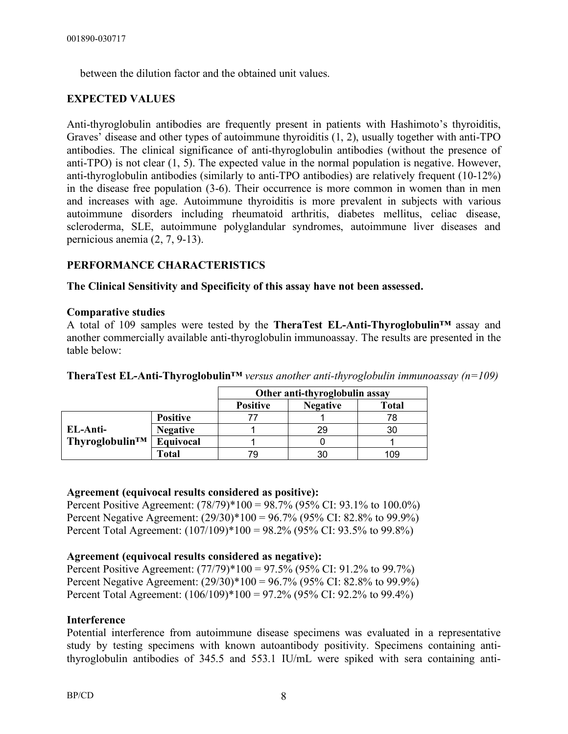between the dilution factor and the obtained unit values.

## **EXPECTED VALUES**

Anti-thyroglobulin antibodies are frequently present in patients with Hashimoto's thyroiditis, Graves' disease and other types of autoimmune thyroiditis (1, 2), usually together with anti-TPO antibodies. The clinical significance of anti-thyroglobulin antibodies (without the presence of anti-TPO) is not clear (1, 5). The expected value in the normal population is negative. However, anti-thyroglobulin antibodies (similarly to anti-TPO antibodies) are relatively frequent (10-12%) in the disease free population (3-6). Their occurrence is more common in women than in men and increases with age. Autoimmune thyroiditis is more prevalent in subjects with various autoimmune disorders including rheumatoid arthritis, diabetes mellitus, celiac disease, scleroderma, SLE, autoimmune polyglandular syndromes, autoimmune liver diseases and pernicious anemia (2, 7, 9-13).

#### **PERFORMANCE CHARACTERISTICS**

#### **The Clinical Sensitivity and Specificity of this assay have not been assessed.**

#### **Comparative studies**

A total of 109 samples were tested by the **TheraTest EL-Anti-Thyroglobulin™** assay and another commercially available anti-thyroglobulin immunoassay. The results are presented in the table below:

|                            |                 | Other anti-thyroglobulin assay |                 |       |
|----------------------------|-----------------|--------------------------------|-----------------|-------|
|                            |                 | <b>Positive</b>                | <b>Negative</b> | Total |
|                            | <b>Positive</b> |                                |                 | 78    |
| EL-Anti-                   | <b>Negative</b> |                                | 29              | 30    |
| Thyroglobulin <sup>™</sup> | Equivocal       |                                |                 |       |
|                            | Total           | 79                             |                 | 109   |

**TheraTest EL-Anti-Thyroglobulin™** *versus another anti-thyroglobulin immunoassay (n=109)*

#### **Agreement (equivocal results considered as positive):**

Percent Positive Agreement: (78/79)\*100 = 98.7% (95% CI: 93.1% to 100.0%) Percent Negative Agreement: (29/30)\*100 = 96.7% (95% CI: 82.8% to 99.9%) Percent Total Agreement: (107/109)\*100 = 98.2% (95% CI: 93.5% to 99.8%)

#### **Agreement (equivocal results considered as negative):**

Percent Positive Agreement: (77/79)\*100 = 97.5% (95% CI: 91.2% to 99.7%) Percent Negative Agreement: (29/30)\*100 = 96.7% (95% CI: 82.8% to 99.9%) Percent Total Agreement:  $(106/109)*100 = 97.2\% (95\% CI: 92.2\% to 99.4\%)$ 

#### **Interference**

Potential interference from autoimmune disease specimens was evaluated in a representative study by testing specimens with known autoantibody positivity. Specimens containing antithyroglobulin antibodies of 345.5 and 553.1 IU/mL were spiked with sera containing anti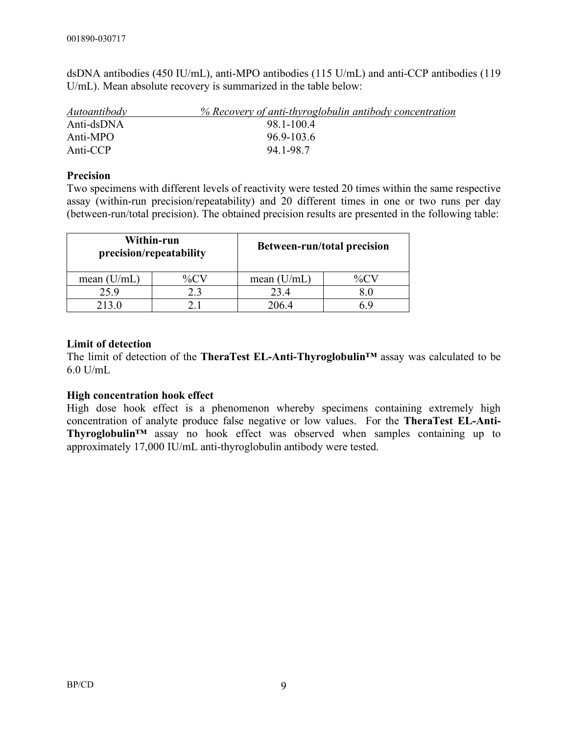dsDNA antibodies (450 IU/mL), anti-MPO antibodies (115 U/mL) and anti-CCP antibodies (119 U/mL). Mean absolute recovery is summarized in the table below:

| <i><u>Autoantibody</u></i> | % Recovery of anti-thyroglobulin antibody concentration |
|----------------------------|---------------------------------------------------------|
| Anti-dsDNA                 | 98 1-100 4                                              |
| Anti-MPO                   | $969-1036$                                              |
| Anti-CCP                   | 94 1-98 7                                               |

### **Precision**

Two specimens with different levels of reactivity were tested 20 times within the same respective assay (within-run precision/repeatability) and 20 different times in one or two runs per day (between-run/total precision). The obtained precision results are presented in the following table:

| Within-run<br>precision/repeatability |     | <b>Between-run/total precision</b> |  |
|---------------------------------------|-----|------------------------------------|--|
| mean $(U/mL)$                         | %CN | mean $(U/mL)$                      |  |
| 25.9                                  | 2.3 | 23.4                               |  |
| 213.0                                 |     | 206.4                              |  |

## **Limit of detection**

The limit of detection of the **TheraTest EL-Anti-Thyroglobulin™** assay was calculated to be 6.0 U/mL

#### **High concentration hook effect**

High dose hook effect is a phenomenon whereby specimens containing extremely high concentration of analyte produce false negative or low values. For the **TheraTest EL-Anti-Thyroglobulin™** assay no hook effect was observed when samples containing up to approximately 17,000 IU/mL anti-thyroglobulin antibody were tested.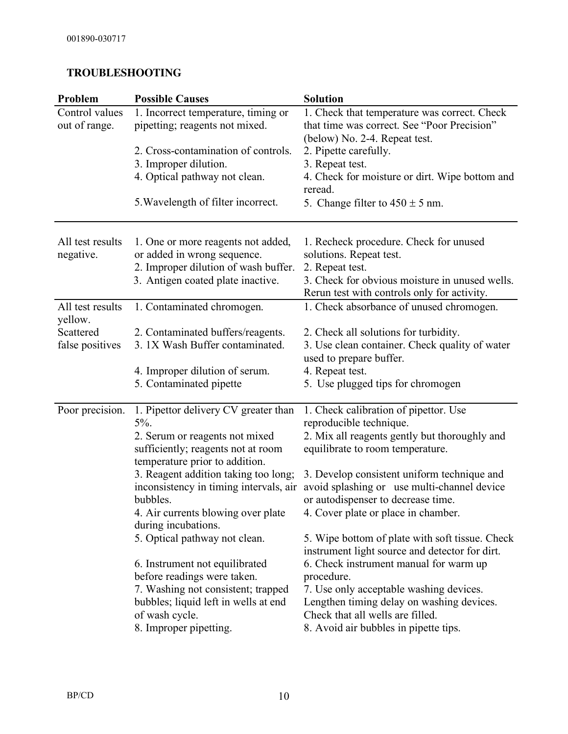## **TROUBLESHOOTING**

| Problem                         | <b>Possible Causes</b>                                                                                                                                                                                                                                                                                                                                                                                                                                                                                                 | <b>Solution</b>                                                                                                                                                                                                                                                                                                                                                                                                                                                                                                                                                                                                           |
|---------------------------------|------------------------------------------------------------------------------------------------------------------------------------------------------------------------------------------------------------------------------------------------------------------------------------------------------------------------------------------------------------------------------------------------------------------------------------------------------------------------------------------------------------------------|---------------------------------------------------------------------------------------------------------------------------------------------------------------------------------------------------------------------------------------------------------------------------------------------------------------------------------------------------------------------------------------------------------------------------------------------------------------------------------------------------------------------------------------------------------------------------------------------------------------------------|
| Control values<br>out of range. | 1. Incorrect temperature, timing or<br>pipetting; reagents not mixed.                                                                                                                                                                                                                                                                                                                                                                                                                                                  | 1. Check that temperature was correct. Check<br>that time was correct. See "Poor Precision"                                                                                                                                                                                                                                                                                                                                                                                                                                                                                                                               |
|                                 | 2. Cross-contamination of controls.<br>3. Improper dilution.<br>4. Optical pathway not clean.<br>5. Wavelength of filter incorrect.                                                                                                                                                                                                                                                                                                                                                                                    | (below) No. 2-4. Repeat test.<br>2. Pipette carefully.<br>3. Repeat test.<br>4. Check for moisture or dirt. Wipe bottom and<br>reread.<br>5. Change filter to $450 \pm 5$ nm.                                                                                                                                                                                                                                                                                                                                                                                                                                             |
| All test results<br>negative.   | 1. One or more reagents not added,<br>or added in wrong sequence.<br>2. Improper dilution of wash buffer.<br>3. Antigen coated plate inactive.                                                                                                                                                                                                                                                                                                                                                                         | 1. Recheck procedure. Check for unused<br>solutions. Repeat test.<br>2. Repeat test.<br>3. Check for obvious moisture in unused wells.<br>Rerun test with controls only for activity.                                                                                                                                                                                                                                                                                                                                                                                                                                     |
| All test results<br>yellow.     | 1. Contaminated chromogen.                                                                                                                                                                                                                                                                                                                                                                                                                                                                                             | 1. Check absorbance of unused chromogen.                                                                                                                                                                                                                                                                                                                                                                                                                                                                                                                                                                                  |
| Scattered<br>false positives    | 2. Contaminated buffers/reagents.<br>3. 1X Wash Buffer contaminated.                                                                                                                                                                                                                                                                                                                                                                                                                                                   | 2. Check all solutions for turbidity.<br>3. Use clean container. Check quality of water<br>used to prepare buffer.                                                                                                                                                                                                                                                                                                                                                                                                                                                                                                        |
|                                 | 4. Improper dilution of serum.<br>5. Contaminated pipette                                                                                                                                                                                                                                                                                                                                                                                                                                                              | 4. Repeat test.<br>5. Use plugged tips for chromogen                                                                                                                                                                                                                                                                                                                                                                                                                                                                                                                                                                      |
| Poor precision.                 | 1. Pipettor delivery CV greater than<br>$5\%$ .<br>2. Serum or reagents not mixed<br>sufficiently; reagents not at room<br>temperature prior to addition.<br>3. Reagent addition taking too long;<br>inconsistency in timing intervals, air<br>bubbles.<br>4. Air currents blowing over plate<br>during incubations.<br>5. Optical pathway not clean.<br>6. Instrument not equilibrated<br>before readings were taken.<br>7. Washing not consistent; trapped<br>bubbles; liquid left in wells at end<br>of wash cycle. | 1. Check calibration of pipettor. Use<br>reproducible technique.<br>2. Mix all reagents gently but thoroughly and<br>equilibrate to room temperature.<br>3. Develop consistent uniform technique and<br>avoid splashing or use multi-channel device<br>or autodispenser to decrease time.<br>4. Cover plate or place in chamber.<br>5. Wipe bottom of plate with soft tissue. Check<br>instrument light source and detector for dirt.<br>6. Check instrument manual for warm up<br>procedure.<br>7. Use only acceptable washing devices.<br>Lengthen timing delay on washing devices.<br>Check that all wells are filled. |
|                                 | 8. Improper pipetting.                                                                                                                                                                                                                                                                                                                                                                                                                                                                                                 | 8. Avoid air bubbles in pipette tips.                                                                                                                                                                                                                                                                                                                                                                                                                                                                                                                                                                                     |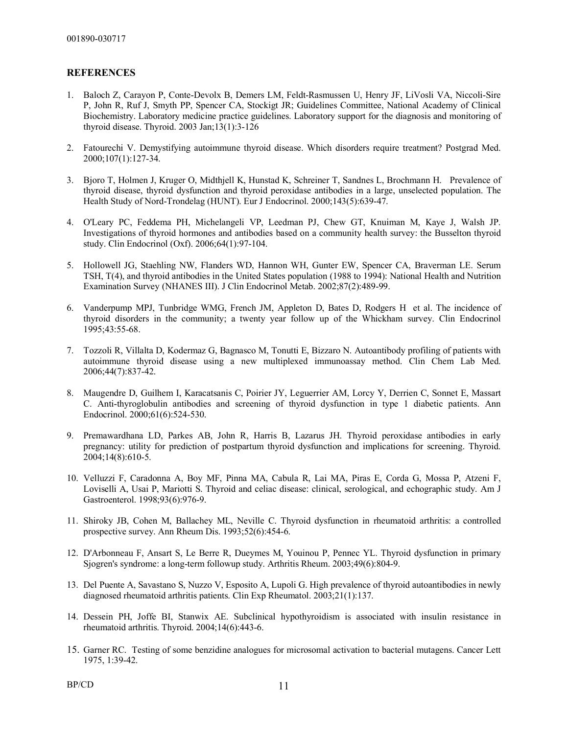#### **REFERENCES**

- 1. Baloch Z, Carayon P, Conte-Devolx B, Demers LM, Feldt-Rasmussen U, Henry JF, LiVosli VA, Niccoli-Sire P, John R, Ruf J, Smyth PP, Spencer CA, Stockigt JR; Guidelines Committee, National Academy of Clinical Biochemistry. Laboratory medicine practice guidelines. Laboratory support for the diagnosis and monitoring of thyroid disease. Thyroid. 2003 Jan;13(1):3-126
- 2. Fatourechi V. Demystifying autoimmune thyroid disease. Which disorders require treatment? Postgrad Med. 2000;107(1):127-34.
- 3. Bjoro T, Holmen J, Kruger O, Midthjell K, Hunstad K, Schreiner T, Sandnes L, Brochmann H. Prevalence of thyroid disease, thyroid dysfunction and thyroid peroxidase antibodies in a large, unselected population. The Health Study of Nord-Trondelag (HUNT). Eur J Endocrinol. 2000;143(5):639-47.
- 4. O'Leary PC, Feddema PH, Michelangeli VP, Leedman PJ, Chew GT, Knuiman M, Kaye J, Walsh JP. Investigations of thyroid hormones and antibodies based on a community health survey: the Busselton thyroid study. Clin Endocrinol (Oxf). 2006;64(1):97-104.
- 5. Hollowell JG, Staehling NW, Flanders WD, Hannon WH, Gunter EW, Spencer CA, Braverman LE. Serum TSH, T(4), and thyroid antibodies in the United States population (1988 to 1994): National Health and Nutrition Examination Survey (NHANES III). J Clin Endocrinol Metab. 2002;87(2):489-99.
- 6. Vanderpump MPJ, Tunbridge WMG, French JM, Appleton D, Bates D, Rodgers H et al. The incidence of thyroid disorders in the community; a twenty year follow up of the Whickham survey. Clin Endocrinol 1995;43:55-68.
- 7. Tozzoli R, Villalta D, Kodermaz G, Bagnasco M, Tonutti E, Bizzaro N. Autoantibody profiling of patients with autoimmune thyroid disease using a new multiplexed immunoassay method. Clin Chem Lab Med. 2006;44(7):837-42.
- 8. Maugendre D, Guilhem I, Karacatsanis C, Poirier JY, Leguerrier AM, Lorcy Y, Derrien C, Sonnet E, Massart C. Anti-thyroglobulin antibodies and screening of thyroid dysfunction in type 1 diabetic patients. Ann Endocrinol. 2000;61(6):524-530.
- 9. Premawardhana LD, Parkes AB, John R, Harris B, Lazarus JH. Thyroid peroxidase antibodies in early pregnancy: utility for prediction of postpartum thyroid dysfunction and implications for screening. Thyroid. 2004;14(8):610-5.
- 10. Velluzzi F, Caradonna A, Boy MF, Pinna MA, Cabula R, Lai MA, Piras E, Corda G, Mossa P, Atzeni F, Loviselli A, Usai P, Mariotti S. Thyroid and celiac disease: clinical, serological, and echographic study. Am J Gastroenterol. 1998;93(6):976-9.
- 11. Shiroky JB, Cohen M, Ballachey ML, Neville C. Thyroid dysfunction in rheumatoid arthritis: a controlled prospective survey. Ann Rheum Dis. 1993;52(6):454-6.
- 12. D'Arbonneau F, Ansart S, Le Berre R, Dueymes M, Youinou P, Pennec YL. Thyroid dysfunction in primary Sjogren's syndrome: a long-term followup study. Arthritis Rheum. 2003;49(6):804-9.
- 13. Del Puente A, Savastano S, Nuzzo V, Esposito A, Lupoli G. High prevalence of thyroid autoantibodies in newly diagnosed rheumatoid arthritis patients. Clin Exp Rheumatol. 2003;21(1):137.
- 14. Dessein PH, Joffe BI, Stanwix AE. Subclinical hypothyroidism is associated with insulin resistance in rheumatoid arthritis. Thyroid. 2004;14(6):443-6.
- 15. Garner RC. Testing of some benzidine analogues for microsomal activation to bacterial mutagens. Cancer Lett 1975, 1:39-42.

 $BP/CD$  11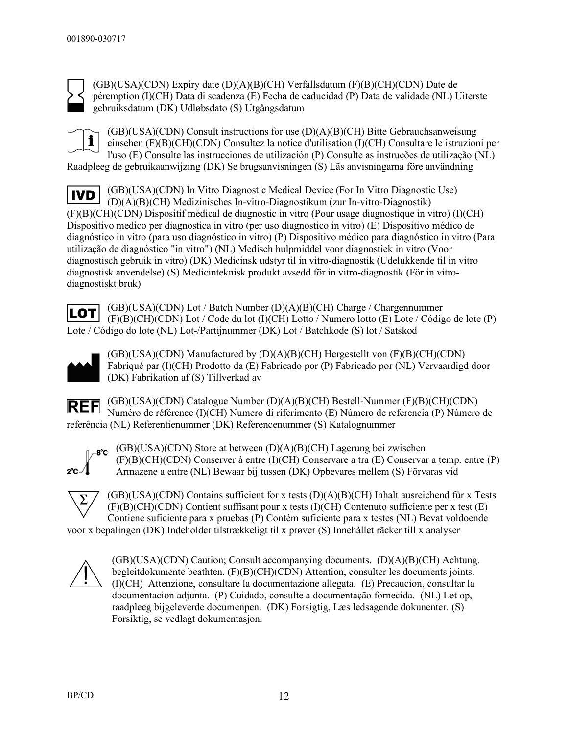

(GB)(USA)(CDN) Expiry date (D)(A)(B)(CH) Verfallsdatum (F)(B)(CH)(CDN) Date de péremption (I)(CH) Data di scadenza (E) Fecha de caducidad (P) Data de validade (NL) Uiterste gebruiksdatum (DK) Udløbsdato (S) Utgångsdatum

i

(GB)(USA)(CDN) Consult instructions for use (D)(A)(B)(CH) Bitte Gebrauchsanweisung einsehen (F)(B)(CH)(CDN) Consultez la notice d'utilisation (I)(CH) Consultare le istruzioni per l'uso (E) Consulte las instrucciones de utilización (P) Consulte as instruções de utilização (NL) Raadpleeg de gebruikaanwijzing (DK) Se brugsanvisningen (S) Läs anvisningarna före användning

(GB)(USA)(CDN) In Vitro Diagnostic Medical Device (For In Vitro Diagnostic Use) **IVD** (D)(A)(B)(CH) Medizinisches In-vitro-Diagnostikum (zur In-vitro-Diagnostik) (F)(B)(CH)(CDN) Dispositif médical de diagnostic in vitro (Pour usage diagnostique in vitro) (I)(CH) Dispositivo medico per diagnostica in vitro (per uso diagnostico in vitro) (E) Dispositivo médico de diagnóstico in vitro (para uso diagnóstico in vitro) (P) Dispositivo médico para diagnóstico in vitro (Para utilização de diagnóstico "in vitro") (NL) Medisch hulpmiddel voor diagnostiek in vitro (Voor diagnostisch gebruik in vitro) (DK) Medicinsk udstyr til in vitro-diagnostik (Udelukkende til in vitro diagnostisk anvendelse) (S) Medicinteknisk produkt avsedd för in vitro-diagnostik (För in vitrodiagnostiskt bruk)

(GB)(USA)(CDN) Lot / Batch Number (D)(A)(B)(CH) Charge / Chargennummer **LOT** (F)(B)(CH)(CDN) Lot / Code du lot (I)(CH) Lotto / Numero lotto (E) Lote / Código de lote (P) Lote / Código do lote (NL) Lot-/Partijnummer (DK) Lot / Batchkode (S) lot / Satskod



(GB)(USA)(CDN) Manufactured by (D)(A)(B)(CH) Hergestellt von (F)(B)(CH)(CDN) Fabriqué par (I)(CH) Prodotto da (E) Fabricado por (P) Fabricado por (NL) Vervaardigd door (DK) Fabrikation af (S) Tillverkad av

(GB)(USA)(CDN) Catalogue Number (D)(A)(B)(CH) Bestell-Nummer (F)(B)(CH)(CDN) **REF** Numéro de référence (I)(CH) Numero di riferimento (E) Número de referencia (P) Número de referência (NL) Referentienummer (DK) Referencenummer (S) Katalognummer



(GB)(USA)(CDN) Store at between (D)(A)(B)(CH) Lagerung bei zwischen (F)(B)(CH)(CDN) Conserver à entre (I)(CH) Conservare a tra (E) Conservar a temp. entre (P) Armazene a entre (NL) Bewaar bij tussen (DK) Opbevares mellem (S) Förvaras vid



(GB)(USA)(CDN) Contains sufficient for x tests (D)(A)(B)(CH) Inhalt ausreichend für x Tests (F)(B)(CH)(CDN) Contient suffisant pour x tests (I)(CH) Contenuto sufficiente per x test (E) Contiene suficiente para x pruebas (P) Contém suficiente para x testes (NL) Bevat voldoende voor x bepalingen (DK) Indeholder tilstrækkeligt til x prøver (S) Innehàllet räcker till x analyser

(GB)(USA)(CDN) Caution; Consult accompanying documents. (D)(A)(B)(CH) Achtung. begleitdokumente beathten. (F)(B)(CH)(CDN) Attention, consulter les documents joints. (I)(CH) Attenzione, consultare la documentazione allegata. (E) Precaucion, consultar la documentacion adjunta. (P) Cuidado, consulte a documentação fornecida. (NL) Let op, raadpleeg bijgeleverde documenpen. (DK) Forsigtig, Læs ledsagende dokunenter. (S) Forsiktig, se vedlagt dokumentasjon.